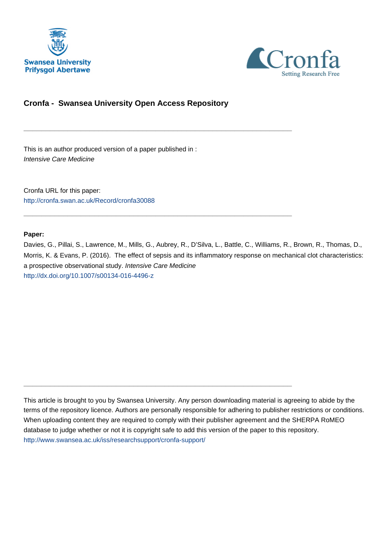



# **Cronfa - Swansea University Open Access Repository**

\_\_\_\_\_\_\_\_\_\_\_\_\_\_\_\_\_\_\_\_\_\_\_\_\_\_\_\_\_\_\_\_\_\_\_\_\_\_\_\_\_\_\_\_\_\_\_\_\_\_\_\_\_\_\_\_\_\_\_\_\_

\_\_\_\_\_\_\_\_\_\_\_\_\_\_\_\_\_\_\_\_\_\_\_\_\_\_\_\_\_\_\_\_\_\_\_\_\_\_\_\_\_\_\_\_\_\_\_\_\_\_\_\_\_\_\_\_\_\_\_\_\_

\_\_\_\_\_\_\_\_\_\_\_\_\_\_\_\_\_\_\_\_\_\_\_\_\_\_\_\_\_\_\_\_\_\_\_\_\_\_\_\_\_\_\_\_\_\_\_\_\_\_\_\_\_\_\_\_\_\_\_\_\_

This is an author produced version of a paper published in : Intensive Care Medicine

Cronfa URL for this paper: <http://cronfa.swan.ac.uk/Record/cronfa30088>

### **Paper:**

Davies, G., Pillai, S., Lawrence, M., Mills, G., Aubrey, R., D'Silva, L., Battle, C., Williams, R., Brown, R., Thomas, D., Morris, K. & Evans, P. (2016). The effect of sepsis and its inflammatory response on mechanical clot characteristics: a prospective observational study. Intensive Care Medicine <http://dx.doi.org/10.1007/s00134-016-4496-z>

This article is brought to you by Swansea University. Any person downloading material is agreeing to abide by the terms of the repository licence. Authors are personally responsible for adhering to publisher restrictions or conditions. When uploading content they are required to comply with their publisher agreement and the SHERPA RoMEO database to judge whether or not it is copyright safe to add this version of the paper to this repository. [http://www.swansea.ac.uk/iss/researchsupport/cronfa-support/](http://www.swansea.ac.uk/iss/researchsupport/cronfa-support/ )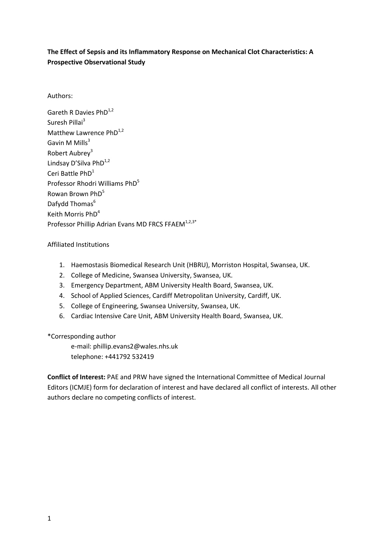# **The Effect of Sepsis and its Inflammatory Response on Mechanical Clot Characteristics: A Prospective Observational Study**

Authors:

Gareth R Davies  $PhD^{1,2}$ Suresh Pillai<sup>3</sup> Matthew Lawrence  $PhD^{1,2}$ Gavin M Mills $3$ Robert Aubrey<sup>3</sup> Lindsay D'Silva PhD<sup>1,2</sup> Ceri Battle PhD<sup>1</sup> Professor Rhodri Williams PhD<sup>5</sup> Rowan Brown PhD<sup>5</sup> Dafydd Thomas<sup>6</sup> Keith Morris PhD<sup>4</sup> Professor Phillip Adrian Evans MD FRCS FFAEM<sup>1,2,3\*</sup>

# Affiliated Institutions

- 1. Haemostasis Biomedical Research Unit (HBRU), Morriston Hospital, Swansea, UK.
- 2. College of Medicine, Swansea University, Swansea, UK.
- 3. Emergency Department, ABM University Health Board, Swansea, UK.
- 4. School of Applied Sciences, Cardiff Metropolitan University, Cardiff, UK.
- 5. College of Engineering, Swansea University, Swansea, UK.
- 6. Cardiac Intensive Care Unit, ABM University Health Board, Swansea, UK.

# \*Corresponding author

e-mail: phillip.evans2@wales.nhs.uk telephone: +441792 532419

**Conflict of Interest:** PAE and PRW have signed the International Committee of Medical Journal Editors (ICMJE) form for declaration of interest and have declared all conflict of interests. All other authors declare no competing conflicts of interest.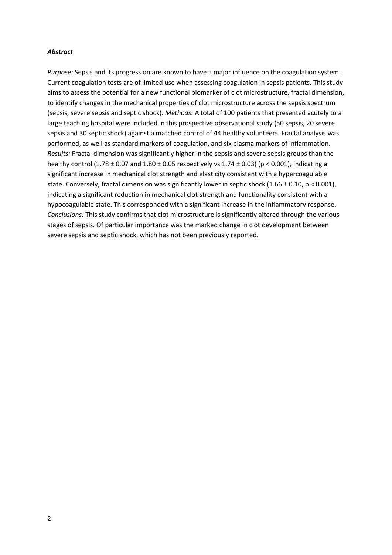## *Abstract*

*Purpose:* Sepsis and its progression are known to have a major influence on the coagulation system. Current coagulation tests are of limited use when assessing coagulation in sepsis patients. This study aims to assess the potential for a new functional biomarker of clot microstructure, fractal dimension, to identify changes in the mechanical properties of clot microstructure across the sepsis spectrum (sepsis, severe sepsis and septic shock). *Methods:* A total of 100 patients that presented acutely to a large teaching hospital were included in this prospective observational study (50 sepsis, 20 severe sepsis and 30 septic shock) against a matched control of 44 healthy volunteers. Fractal analysis was performed, as well as standard markers of coagulation, and six plasma markers of inflammation. *Results:* Fractal dimension was significantly higher in the sepsis and severe sepsis groups than the healthy control  $(1.78 \pm 0.07$  and  $1.80 \pm 0.05$  respectively vs  $1.74 \pm 0.03$  (p < 0.001), indicating a significant increase in mechanical clot strength and elasticity consistent with a hypercoagulable state. Conversely, fractal dimension was significantly lower in septic shock (1.66  $\pm$  0.10, p < 0.001), indicating a significant reduction in mechanical clot strength and functionality consistent with a hypocoagulable state. This corresponded with a significant increase in the inflammatory response. *Conclusions:* This study confirms that clot microstructure is significantly altered through the various stages of sepsis. Of particular importance was the marked change in clot development between severe sepsis and septic shock, which has not been previously reported.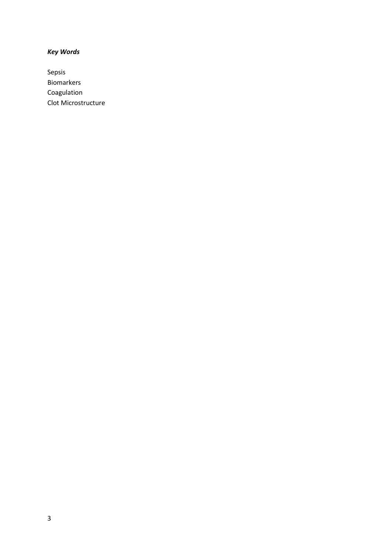# *Key Words*

Sepsis Biomarkers Coagulation Clot Microstructure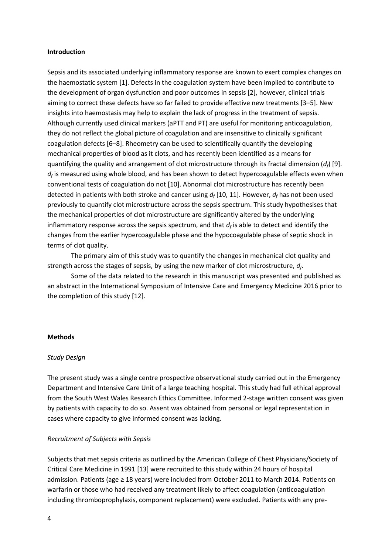#### **Introduction**

Sepsis and its associated underlying inflammatory response are known to exert complex changes on the haemostatic system [1]. Defects in the coagulation system have been implied to contribute to the development of organ dysfunction and poor outcomes in sepsis [2], however, clinical trials aiming to correct these defects have so far failed to provide effective new treatments [3–5]. New insights into haemostasis may help to explain the lack of progress in the treatment of sepsis. Although currently used clinical markers (aPTT and PT) are useful for monitoring anticoagulation, they do not reflect the global picture of coagulation and are insensitive to clinically significant coagulation defects [6–8]. Rheometry can be used to scientifically quantify the developing mechanical properties of blood as it clots, and has recently been identified as a means for quantifying the quality and arrangement of clot microstructure through its fractal dimension (*df*) [9]. *df* is measured using whole blood, and has been shown to detect hypercoagulable effects even when conventional tests of coagulation do not [10]. Abnormal clot microstructure has recently been detected in patients with both stroke and cancer using *d<sup>f</sup>* [10, 11]. However, *d<sup>f</sup>* has not been used previously to quantify clot microstructure across the sepsis spectrum. This study hypothesises that the mechanical properties of clot microstructure are significantly altered by the underlying inflammatory response across the sepsis spectrum, and that *d<sup>f</sup>* is able to detect and identify the changes from the earlier hypercoagulable phase and the hypocoagulable phase of septic shock in terms of clot quality.

The primary aim of this study was to quantify the changes in mechanical clot quality and strength across the stages of sepsis, by using the new marker of clot microstructure, *d<sup>f</sup>* .

Some of the data related to the research in this manuscript was presented and published as an abstract in the International Symposium of Intensive Care and Emergency Medicine 2016 prior to the completion of this study [12].

#### **Methods**

## *Study Design*

The present study was a single centre prospective observational study carried out in the Emergency Department and Intensive Care Unit of a large teaching hospital. This study had full ethical approval from the South West Wales Research Ethics Committee. Informed 2-stage written consent was given by patients with capacity to do so. Assent was obtained from personal or legal representation in cases where capacity to give informed consent was lacking.

## *Recruitment of Subjects with Sepsis*

Subjects that met sepsis criteria as outlined by the American College of Chest Physicians/Society of Critical Care Medicine in 1991 [13] were recruited to this study within 24 hours of hospital admission. Patients (age ≥ 18 years) were included from October 2011 to March 2014. Patients on warfarin or those who had received any treatment likely to affect coagulation (anticoagulation including thromboprophylaxis, component replacement) were excluded. Patients with any pre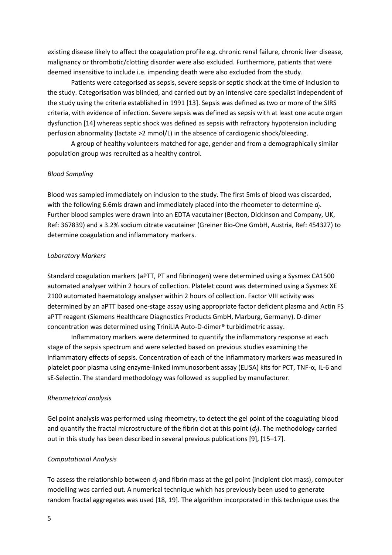existing disease likely to affect the coagulation profile e.g. chronic renal failure, chronic liver disease, malignancy or thrombotic/clotting disorder were also excluded. Furthermore, patients that were deemed insensitive to include i.e. impending death were also excluded from the study.

Patients were categorised as sepsis, severe sepsis or septic shock at the time of inclusion to the study. Categorisation was blinded, and carried out by an intensive care specialist independent of the study using the criteria established in 1991 [13]. Sepsis was defined as two or more of the SIRS criteria, with evidence of infection. Severe sepsis was defined as sepsis with at least one acute organ dysfunction [14] whereas septic shock was defined as sepsis with refractory hypotension including perfusion abnormality (lactate >2 mmol/L) in the absence of cardiogenic shock/bleeding.

A group of healthy volunteers matched for age, gender and from a demographically similar population group was recruited as a healthy control.

### *Blood Sampling*

Blood was sampled immediately on inclusion to the study. The first 5mls of blood was discarded, with the following 6.6mls drawn and immediately placed into the rheometer to determine *d<sup>f</sup>* . Further blood samples were drawn into an EDTA vacutainer (Becton, Dickinson and Company, UK, Ref: 367839) and a 3.2% sodium citrate vacutainer (Greiner Bio-One GmbH, Austria, Ref: 454327) to determine coagulation and inflammatory markers.

#### *Laboratory Markers*

Standard coagulation markers (aPTT, PT and fibrinogen) were determined using a Sysmex CA1500 automated analyser within 2 hours of collection. Platelet count was determined using a Sysmex XE 2100 automated haematology analyser within 2 hours of collection. Factor VIII activity was determined by an aPTT based one-stage assay using appropriate factor deficient plasma and Actin FS aPTT reagent (Siemens Healthcare Diagnostics Products GmbH, Marburg, Germany). D-dimer concentration was determined using TriniLIA Auto-D-dimer® turbidimetric assay.

Inflammatory markers were determined to quantify the inflammatory response at each stage of the sepsis spectrum and were selected based on previous studies examining the inflammatory effects of sepsis. Concentration of each of the inflammatory markers was measured in platelet poor plasma using enzyme-linked immunosorbent assay (ELISA) kits for PCT, TNF-α, IL-6 and sE-Selectin. The standard methodology was followed as supplied by manufacturer.

#### *Rheometrical analysis*

Gel point analysis was performed using rheometry, to detect the gel point of the coagulating blood and quantify the fractal microstructure of the fibrin clot at this point (*df*). The methodology carried out in this study has been described in several previous publications [9], [15–17].

#### *Computational Analysis*

To assess the relationship between *d<sup>f</sup>* and fibrin mass at the gel point (incipient clot mass), computer modelling was carried out. A numerical technique which has previously been used to generate random fractal aggregates was used [18, 19]. The algorithm incorporated in this technique uses the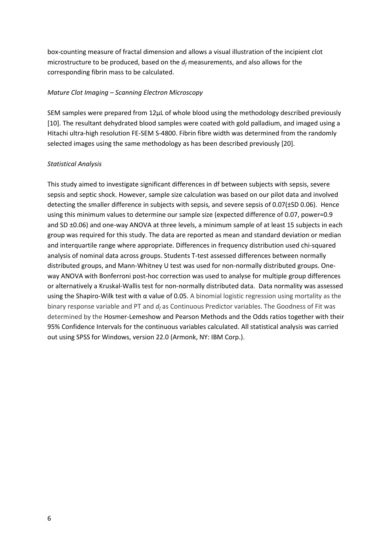box-counting measure of fractal dimension and allows a visual illustration of the incipient clot microstructure to be produced, based on the  $d_f$  measurements, and also allows for the corresponding fibrin mass to be calculated.

## *Mature Clot Imaging – Scanning Electron Microscopy*

SEM samples were prepared from 12µL of whole blood using the methodology described previously [10]. The resultant dehydrated blood samples were coated with gold palladium, and imaged using a Hitachi ultra-high resolution FE-SEM S-4800. Fibrin fibre width was determined from the randomly selected images using the same methodology as has been described previously [20].

## *Statistical Analysis*

This study aimed to investigate significant differences in df between subjects with sepsis, severe sepsis and septic shock. However, sample size calculation was based on our pilot data and involved detecting the smaller difference in subjects with sepsis, and severe sepsis of 0.07(±SD 0.06). Hence using this minimum values to determine our sample size (expected difference of 0.07, power=0.9 and SD ±0.06) and one-way ANOVA at three levels, a minimum sample of at least 15 subjects in each group was required for this study. The data are reported as mean and standard deviation or median and interquartile range where appropriate. Differences in frequency distribution used chi-squared analysis of nominal data across groups. Students T-test assessed differences between normally distributed groups, and Mann-Whitney U test was used for non-normally distributed groups. Oneway ANOVA with Bonferroni post-hoc correction was used to analyse for multiple group differences or alternatively a Kruskal-Wallis test for non-normally distributed data. Data normality was assessed using the Shapiro-Wilk test with  $\alpha$  value of 0.05. A binomial logistic regression using mortality as the binary response variable and PT and *d<sup>f</sup>* as Continuous Predictor variables. The Goodness of Fit was determined by the Hosmer-Lemeshow and Pearson Methods and the Odds ratios together with their 95% Confidence Intervals for the continuous variables calculated. All statistical analysis was carried out using SPSS for Windows, version 22.0 (Armonk, NY: IBM Corp.).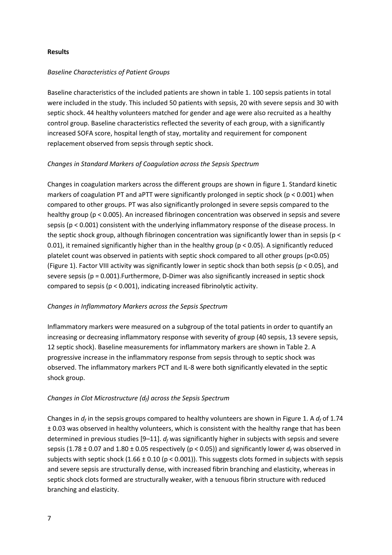## **Results**

## *Baseline Characteristics of Patient Groups*

Baseline characteristics of the included patients are shown in table 1. 100 sepsis patients in total were included in the study. This included 50 patients with sepsis, 20 with severe sepsis and 30 with septic shock. 44 healthy volunteers matched for gender and age were also recruited as a healthy control group. Baseline characteristics reflected the severity of each group, with a significantly increased SOFA score, hospital length of stay, mortality and requirement for component replacement observed from sepsis through septic shock.

# *Changes in Standard Markers of Coagulation across the Sepsis Spectrum*

Changes in coagulation markers across the different groups are shown in figure 1. Standard kinetic markers of coagulation PT and aPTT were significantly prolonged in septic shock ( $p < 0.001$ ) when compared to other groups. PT was also significantly prolonged in severe sepsis compared to the healthy group (p < 0.005). An increased fibrinogen concentration was observed in sepsis and severe sepsis (p < 0.001) consistent with the underlying inflammatory response of the disease process. In the septic shock group, although fibrinogen concentration was significantly lower than in sepsis (p < 0.01), it remained significantly higher than in the healthy group ( $p < 0.05$ ). A significantly reduced platelet count was observed in patients with septic shock compared to all other groups (p<0.05) (Figure 1). Factor VIII activity was significantly lower in septic shock than both sepsis (p < 0.05), and severe sepsis (p = 0.001).Furthermore, D-Dimer was also significantly increased in septic shock compared to sepsis (p < 0.001), indicating increased fibrinolytic activity.

# *Changes in Inflammatory Markers across the Sepsis Spectrum*

Inflammatory markers were measured on a subgroup of the total patients in order to quantify an increasing or decreasing inflammatory response with severity of group (40 sepsis, 13 severe sepsis, 12 septic shock). Baseline measurements for inflammatory markers are shown in Table 2. A progressive increase in the inflammatory response from sepsis through to septic shock was observed. The inflammatory markers PCT and IL-8 were both significantly elevated in the septic shock group.

# *Changes in Clot Microstructure (df) across the Sepsis Spectrum*

Changes in  $d_f$  in the sepsis groups compared to healthy volunteers are shown in Figure 1. A  $d_f$  of 1.74 ± 0.03 was observed in healthy volunteers, which is consistent with the healthy range that has been determined in previous studies [9–11]. *d<sup>f</sup>* was significantly higher in subjects with sepsis and severe sepsis (1.78  $\pm$  0.07 and 1.80  $\pm$  0.05 respectively (p < 0.05)) and significantly lower  $d_f$  was observed in subjects with septic shock  $(1.66 \pm 0.10$  (p < 0.001)). This suggests clots formed in subjects with sepsis and severe sepsis are structurally dense, with increased fibrin branching and elasticity, whereas in septic shock clots formed are structurally weaker, with a tenuous fibrin structure with reduced branching and elasticity.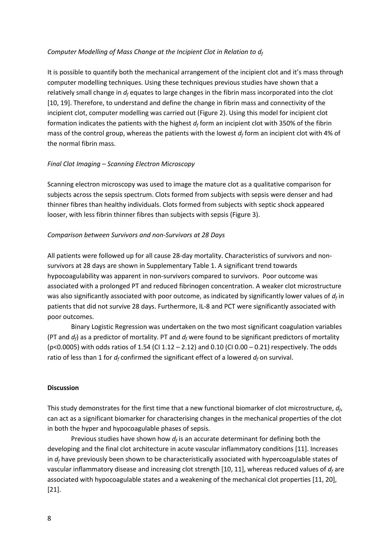## *Computer Modelling of Mass Change at the Incipient Clot in Relation to d<sup>f</sup>*

It is possible to quantify both the mechanical arrangement of the incipient clot and it's mass through computer modelling techniques. Using these techniques previous studies have shown that a relatively small change in *d<sup>f</sup>* equates to large changes in the fibrin mass incorporated into the clot [10, 19]. Therefore, to understand and define the change in fibrin mass and connectivity of the incipient clot, computer modelling was carried out (Figure 2). Using this model for incipient clot formation indicates the patients with the highest *d<sup>f</sup>* form an incipient clot with 350% of the fibrin mass of the control group, whereas the patients with the lowest *d<sup>f</sup>* form an incipient clot with 4% of the normal fibrin mass.

### *Final Clot Imaging – Scanning Electron Microscopy*

Scanning electron microscopy was used to image the mature clot as a qualitative comparison for subjects across the sepsis spectrum. Clots formed from subjects with sepsis were denser and had thinner fibres than healthy individuals. Clots formed from subjects with septic shock appeared looser, with less fibrin thinner fibres than subjects with sepsis (Figure 3).

#### *Comparison between Survivors and non-Survivors at 28 Days*

All patients were followed up for all cause 28-day mortality. Characteristics of survivors and nonsurvivors at 28 days are shown in Supplementary Table 1. A significant trend towards hypocoagulability was apparent in non-survivors compared to survivors. Poor outcome was associated with a prolonged PT and reduced fibrinogen concentration. A weaker clot microstructure was also significantly associated with poor outcome, as indicated by significantly lower values of  $d_f$  in patients that did not survive 28 days. Furthermore, IL-8 and PCT were significantly associated with poor outcomes.

Binary Logistic Regression was undertaken on the two most significant coagulation variables (PT and *df*) as a predictor of mortality. PT and *d<sup>f</sup>* were found to be significant predictors of mortality (p<0.0005) with odds ratios of 1.54 (CI 1.12 – 2.12) and 0.10 (CI 0.00 – 0.21) respectively. The odds ratio of less than 1 for  $d_f$  confirmed the significant effect of a lowered  $d_f$  on survival.

#### **Discussion**

This study demonstrates for the first time that a new functional biomarker of clot microstructure, *d<sup>f</sup>* , can act as a significant biomarker for characterising changes in the mechanical properties of the clot in both the hyper and hypocoagulable phases of sepsis.

Previous studies have shown how  $d_f$  is an accurate determinant for defining both the developing and the final clot architecture in acute vascular inflammatory conditions [11]. Increases in  $d_f$  have previously been shown to be characteristically associated with hypercoagulable states of vascular inflammatory disease and increasing clot strength [10, 11], whereas reduced values of *d<sup>f</sup>* are associated with hypocoagulable states and a weakening of the mechanical clot properties [11, 20], [21].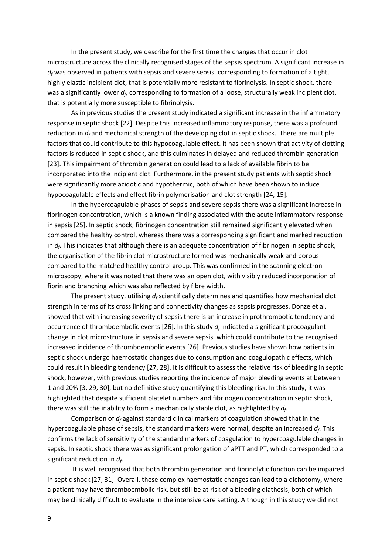In the present study, we describe for the first time the changes that occur in clot microstructure across the clinically recognised stages of the sepsis spectrum. A significant increase in  $d_f$  was observed in patients with sepsis and severe sepsis, corresponding to formation of a tight, highly elastic incipient clot, that is potentially more resistant to fibrinolysis. In septic shock, there was a significantly lower  $d_f$ , corresponding to formation of a loose, structurally weak incipient clot, that is potentially more susceptible to fibrinolysis.

As in previous studies the present study indicated a significant increase in the inflammatory response in septic shock [22]. Despite this increased inflammatory response, there was a profound reduction in *d<sup>f</sup>* and mechanical strength of the developing clot in septic shock. There are multiple factors that could contribute to this hypocoagulable effect. It has been shown that activity of clotting factors is reduced in septic shock, and this culminates in delayed and reduced thrombin generation [23]. This impairment of thrombin generation could lead to a lack of available fibrin to be incorporated into the incipient clot. Furthermore, in the present study patients with septic shock were significantly more acidotic and hypothermic, both of which have been shown to induce hypocoagulable effects and effect fibrin polymerisation and clot strength [24, 15].

In the hypercoagulable phases of sepsis and severe sepsis there was a significant increase in fibrinogen concentration, which is a known finding associated with the acute inflammatory response in sepsis [25]. In septic shock, fibrinogen concentration still remained significantly elevated when compared the healthy control, whereas there was a corresponding significant and marked reduction in *d<sup>f</sup>* . This indicates that although there is an adequate concentration of fibrinogen in septic shock, the organisation of the fibrin clot microstructure formed was mechanically weak and porous compared to the matched healthy control group. This was confirmed in the scanning electron microscopy, where it was noted that there was an open clot, with visibly reduced incorporation of fibrin and branching which was also reflected by fibre width.

The present study, utilising *d<sup>f</sup>* scientifically determines and quantifies how mechanical clot strength in terms of its cross linking and connectivity changes as sepsis progresses. Donze et al. showed that with increasing severity of sepsis there is an increase in prothrombotic tendency and occurrence of thromboembolic events [26]. In this study *d<sup>f</sup>* indicated a significant procoagulant change in clot microstructure in sepsis and severe sepsis, which could contribute to the recognised increased incidence of thromboembolic events [26]. Previous studies have shown how patients in septic shock undergo haemostatic changes due to consumption and coagulopathic effects, which could result in bleeding tendency [27, 28]. It is difficult to assess the relative risk of bleeding in septic shock, however, with previous studies reporting the incidence of major bleeding events at between 1 and 20% [3, 29, 30], but no definitive study quantifying this bleeding risk. In this study, it was highlighted that despite sufficient platelet numbers and fibrinogen concentration in septic shock, there was still the inability to form a mechanically stable clot, as highlighted by *d<sup>f</sup>* .

Comparison of *d<sup>f</sup>* against standard clinical markers of coagulation showed that in the hypercoagulable phase of sepsis, the standard markers were normal, despite an increased *d<sup>f</sup>* . This confirms the lack of sensitivity of the standard markers of coagulation to hypercoagulable changes in sepsis. In septic shock there was as significant prolongation of aPTT and PT, which corresponded to a significant reduction in *d<sup>f</sup>* .

It is well recognised that both thrombin generation and fibrinolytic function can be impaired in septic shock [27, 31]. Overall, these complex haemostatic changes can lead to a dichotomy, where a patient may have thromboembolic risk, but still be at risk of a bleeding diathesis, both of which may be clinically difficult to evaluate in the intensive care setting. Although in this study we did not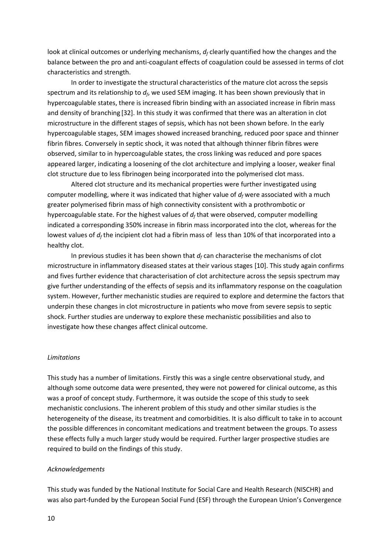look at clinical outcomes or underlying mechanisms, *d<sup>f</sup>* clearly quantified how the changes and the balance between the pro and anti-coagulant effects of coagulation could be assessed in terms of clot characteristics and strength.

In order to investigate the structural characteristics of the mature clot across the sepsis spectrum and its relationship to  $d_f$ , we used SEM imaging. It has been shown previously that in hypercoagulable states, there is increased fibrin binding with an associated increase in fibrin mass and density of branching [32]. In this study it was confirmed that there was an alteration in clot microstructure in the different stages of sepsis, which has not been shown before. In the early hypercoagulable stages, SEM images showed increased branching, reduced poor space and thinner fibrin fibres. Conversely in septic shock, it was noted that although thinner fibrin fibres were observed, similar to in hypercoagulable states, the cross linking was reduced and pore spaces appeared larger, indicating a loosening of the clot architecture and implying a looser, weaker final clot structure due to less fibrinogen being incorporated into the polymerised clot mass.

Altered clot structure and its mechanical properties were further investigated using computer modelling, where it was indicated that higher value of  $d_f$  were associated with a much greater polymerised fibrin mass of high connectivity consistent with a prothrombotic or hypercoagulable state. For the highest values of *d<sup>f</sup>* that were observed, computer modelling indicated a corresponding 350% increase in fibrin mass incorporated into the clot, whereas for the lowest values of *d<sup>f</sup>* the incipient clot had a fibrin mass of less than 10% of that incorporated into a healthy clot.

In previous studies it has been shown that  $d_f$  can characterise the mechanisms of clot microstructure in inflammatory diseased states at their various stages [10]. This study again confirms and fives further evidence that characterisation of clot architecture across the sepsis spectrum may give further understanding of the effects of sepsis and its inflammatory response on the coagulation system. However, further mechanistic studies are required to explore and determine the factors that underpin these changes in clot microstructure in patients who move from severe sepsis to septic shock. Further studies are underway to explore these mechanistic possibilities and also to investigate how these changes affect clinical outcome.

## *Limitations*

This study has a number of limitations. Firstly this was a single centre observational study, and although some outcome data were presented, they were not powered for clinical outcome, as this was a proof of concept study. Furthermore, it was outside the scope of this study to seek mechanistic conclusions. The inherent problem of this study and other similar studies is the heterogeneity of the disease, its treatment and comorbidities. It is also difficult to take in to account the possible differences in concomitant medications and treatment between the groups. To assess these effects fully a much larger study would be required. Further larger prospective studies are required to build on the findings of this study.

#### *Acknowledgements*

This study was funded by the National Institute for Social Care and Health Research (NISCHR) and was also part-funded by the European Social Fund (ESF) through the European Union's Convergence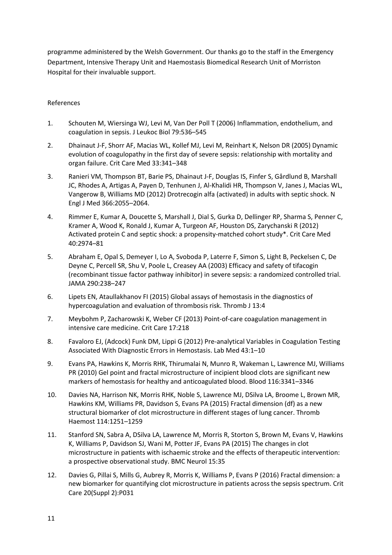programme administered by the Welsh Government. Our thanks go to the staff in the Emergency Department, Intensive Therapy Unit and Haemostasis Biomedical Research Unit of Morriston Hospital for their invaluable support.

# References

- 1. Schouten M, Wiersinga WJ, Levi M, Van Der Poll T (2006) Inflammation, endothelium, and coagulation in sepsis. J Leukoc Biol 79:536–545
- 2. Dhainaut J-F, Shorr AF, Macias WL, Kollef MJ, Levi M, Reinhart K, Nelson DR (2005) Dynamic evolution of coagulopathy in the first day of severe sepsis: relationship with mortality and organ failure. Crit Care Med 33:341–348
- 3. Ranieri VM, Thompson BT, Barie PS, Dhainaut J-F, Douglas IS, Finfer S, Gårdlund B, Marshall JC, Rhodes A, Artigas A, Payen D, Tenhunen J, Al-Khalidi HR, Thompson V, Janes J, Macias WL, Vangerow B, Williams MD (2012) Drotrecogin alfa (activated) in adults with septic shock. N Engl J Med 366:2055–2064.
- 4. Rimmer E, Kumar A, Doucette S, Marshall J, Dial S, Gurka D, Dellinger RP, Sharma S, Penner C, Kramer A, Wood K, Ronald J, Kumar A, Turgeon AF, Houston DS, Zarychanski R (2012) Activated protein C and septic shock: a propensity-matched cohort study\*. Crit Care Med 40:2974–81
- 5. Abraham E, Opal S, Demeyer I, Lo A, Svoboda P, Laterre F, Simon S, Light B, Peckelsen C, De Deyne C, Percell SR, Shu V, Poole L, Creasey AA (2003) Efficacy and safety of tifacogin (recombinant tissue factor pathway inhibitor) in severe sepsis: a randomized controlled trial. JAMA 290:238–247
- 6. Lipets EN, Ataullakhanov FI (2015) Global assays of hemostasis in the diagnostics of hypercoagulation and evaluation of thrombosis risk. Thromb J 13:4
- 7. Meybohm P, Zacharowski K, Weber CF (2013) Point-of-care coagulation management in intensive care medicine. Crit Care 17:218
- 8. Favaloro EJ, (Adcock) Funk DM, Lippi G (2012) Pre-analytical Variables in Coagulation Testing Associated With Diagnostic Errors in Hemostasis. Lab Med 43:1–10
- 9. Evans PA, Hawkins K, Morris RHK, Thirumalai N, Munro R, Wakeman L, Lawrence MJ, Williams PR (2010) Gel point and fractal microstructure of incipient blood clots are significant new markers of hemostasis for healthy and anticoagulated blood. Blood 116:3341–3346
- 10. Davies NA, Harrison NK, Morris RHK, Noble S, Lawrence MJ, DSilva LA, Broome L, Brown MR, Hawkins KM, Williams PR, Davidson S, Evans PA (2015) Fractal dimension (df) as a new structural biomarker of clot microstructure in different stages of lung cancer. Thromb Haemost 114:1251–1259
- 11. Stanford SN, Sabra A, DSilva LA, Lawrence M, Morris R, Storton S, Brown M, Evans V, Hawkins K, Williams P, Davidson SJ, Wani M, Potter JF, Evans PA (2015) The changes in clot microstructure in patients with ischaemic stroke and the effects of therapeutic intervention: a prospective observational study. BMC Neurol 15:35
- 12. Davies G, Pillai S, Mills G, Aubrey R, Morris K, Williams P, Evans P (2016) Fractal dimension: a new biomarker for quantifying clot microstructure in patients across the sepsis spectrum. Crit Care 20(Suppl 2):P031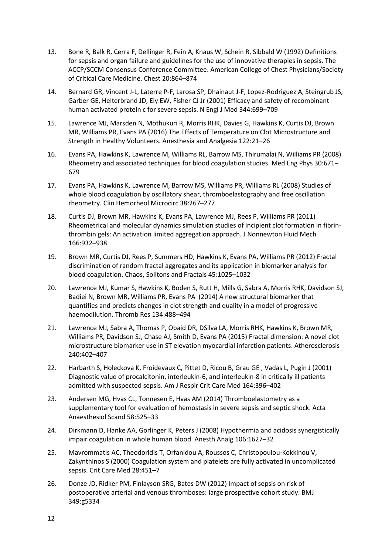- 13. Bone R, Balk R, Cerra F, Dellinger R, Fein A, Knaus W, Schein R, Sibbald W (1992) Definitions for sepsis and organ failure and guidelines for the use of innovative therapies in sepsis. The ACCP/SCCM Consensus Conference Committee. American College of Chest Physicians/Society of Critical Care Medicine. Chest 20:864–874
- 14. Bernard GR, Vincent J-L, Laterre P-F, Larosa SP, Dhainaut J-F, Lopez-Rodriguez A, Steingrub JS, Garber GE, Helterbrand JD, Ely EW, Fisher CJ Jr (2001) Efficacy and safety of recombinant human activated protein c for severe sepsis. N Engl J Med 344:699–709
- 15. Lawrence MJ, Marsden N, Mothukuri R, Morris RHK, Davies G, Hawkins K, Curtis DJ, Brown MR, Williams PR, Evans PA (2016) The Effects of Temperature on Clot Microstructure and Strength in Healthy Volunteers. Anesthesia and Analgesia 122:21–26
- 16. Evans PA, Hawkins K, Lawrence M, Williams RL, Barrow MS, Thirumalai N, Williams PR (2008) Rheometry and associated techniques for blood coagulation studies. Med Eng Phys 30:671– 679
- 17. Evans PA, Hawkins K, Lawrence M, Barrow MS, Williams PR, Williams RL (2008) Studies of whole blood coagulation by oscillatory shear, thromboelastography and free oscillation rheometry. Clin Hemorheol Microcirc 38:267–277
- 18. Curtis DJ, Brown MR, Hawkins K, Evans PA, Lawrence MJ, Rees P, Williams PR (2011) Rheometrical and molecular dynamics simulation studies of incipient clot formation in fibrinthrombin gels: An activation limited aggregation approach. J Nonnewton Fluid Mech 166:932–938
- 19. Brown MR, Curtis DJ, Rees P, Summers HD, Hawkins K, Evans PA, Williams PR (2012) Fractal discrimination of random fractal aggregates and its application in biomarker analysis for blood coagulation. Chaos, Solitons and Fractals 45:1025–1032
- 20. Lawrence MJ, Kumar S, Hawkins K, Boden S, Rutt H, Mills G, Sabra A, Morris RHK, Davidson SJ, Badiei N, Brown MR, Williams PR, Evans PA (2014) A new structural biomarker that quantifies and predicts changes in clot strength and quality in a model of progressive haemodilution. Thromb Res 134:488–494
- 21. Lawrence MJ, Sabra A, Thomas P, Obaid DR, DSilva LA, Morris RHK, Hawkins K, Brown MR, Williams PR, Davidson SJ, Chase AJ, Smith D, Evans PA (2015) Fractal dimension: A novel clot microstructure biomarker use in ST elevation myocardial infarction patients. Atherosclerosis 240:402–407
- 22. Harbarth S, Holeckova K, Froidevaux C, Pittet D, Ricou B, Grau GE , Vadas L, Pugin J (2001) Diagnostic value of procalcitonin, interleukin-6, and interleukin-8 in critically ill patients admitted with suspected sepsis. Am J Respir Crit Care Med 164:396–402
- 23. Andersen MG, Hvas CL, Tonnesen E, Hvas AM (2014) Thromboelastometry as a supplementary tool for evaluation of hemostasis in severe sepsis and septic shock. Acta Anaesthesiol Scand 58:525–33
- 24. Dirkmann D, Hanke AA, Gorlinger K, Peters J (2008) Hypothermia and acidosis synergistically impair coagulation in whole human blood. Anesth Analg 106:1627–32
- 25. Mavrommatis AC, Theodoridis T, Orfanidou A, Roussos C, Christopoulou-Kokkinou V, Zakynthinos S (2000) Coagulation system and platelets are fully activated in uncomplicated sepsis. Crit Care Med 28:451–7
- 26. Donze JD, Ridker PM, Finlayson SRG, Bates DW (2012) Impact of sepsis on risk of postoperative arterial and venous thromboses: large prospective cohort study. BMJ 349:g5334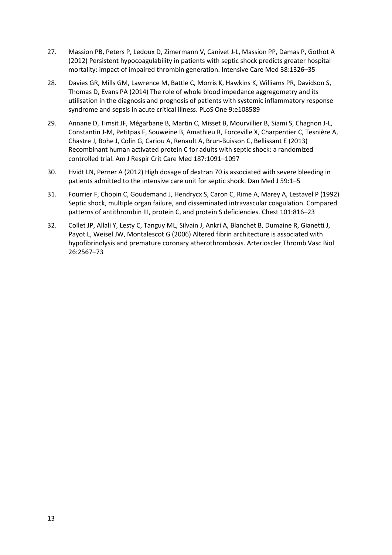- 27. Massion PB, Peters P, Ledoux D, Zimermann V, Canivet J-L, Massion PP, Damas P, Gothot A (2012) Persistent hypocoagulability in patients with septic shock predicts greater hospital mortality: impact of impaired thrombin generation. Intensive Care Med 38:1326–35
- 28. Davies GR, Mills GM, Lawrence M, Battle C, Morris K, Hawkins K, Williams PR, Davidson S, Thomas D, Evans PA (2014) The role of whole blood impedance aggregometry and its utilisation in the diagnosis and prognosis of patients with systemic inflammatory response syndrome and sepsis in acute critical illness. PLoS One 9:e108589
- 29. Annane D, Timsit JF, Mégarbane B, Martin C, Misset B, Mourvillier B, Siami S, Chagnon J-L, Constantin J-M, Petitpas F, Souweine B, Amathieu R, Forceville X, Charpentier C, Tesnière A, Chastre J, Bohe J, Colin G, Cariou A, Renault A, Brun-Buisson C, Bellissant E (2013) Recombinant human activated protein C for adults with septic shock: a randomized controlled trial. Am J Respir Crit Care Med 187:1091–1097
- 30. Hvidt LN, Perner A (2012) High dosage of dextran 70 is associated with severe bleeding in patients admitted to the intensive care unit for septic shock. Dan Med J 59:1–5
- 31. Fourrier F, Chopin C, Goudemand J, Hendrycx S, Caron C, Rime A, Marey A, Lestavel P (1992) Septic shock, multiple organ failure, and disseminated intravascular coagulation. Compared patterns of antithrombin III, protein C, and protein S deficiencies. Chest 101:816–23
- 32. Collet JP, Allali Y, Lesty C, Tanguy ML, Silvain J, Ankri A, Blanchet B, Dumaine R, Gianetti J, Payot L, Weisel JW, Montalescot G (2006) Altered fibrin architecture is associated with hypofibrinolysis and premature coronary atherothrombosis. Arterioscler Thromb Vasc Biol 26:2567–73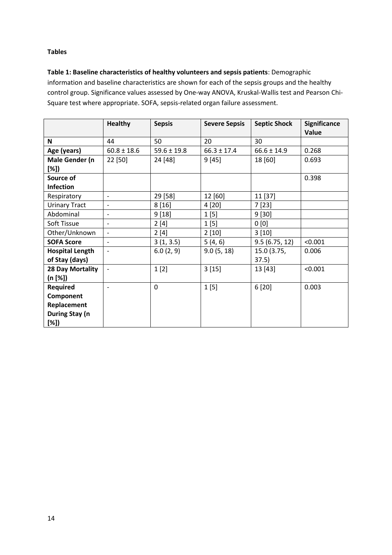## **Tables**

**Table 1: Baseline characteristics of healthy volunteers and sepsis patients**: Demographic information and baseline characteristics are shown for each of the sepsis groups and the healthy control group. Significance values assessed by One-way ANOVA, Kruskal-Wallis test and Pearson Chi-Square test where appropriate. SOFA, sepsis-related organ failure assessment.

|                        | <b>Healthy</b>           | <b>Sepsis</b>   | <b>Severe Sepsis</b> | <b>Septic Shock</b> | <b>Significance</b><br>Value |
|------------------------|--------------------------|-----------------|----------------------|---------------------|------------------------------|
| N                      | 44                       | 50              | 20                   | 30                  |                              |
| Age (years)            | $60.8 \pm 18.6$          | $59.6 \pm 19.8$ | $66.3 \pm 17.4$      | $66.6 \pm 14.9$     | 0.268                        |
| Male Gender (n         | 22 [50]                  | 24 [48]         | 9[45]                | 18 [60]             | 0.693                        |
| [%])                   |                          |                 |                      |                     |                              |
| Source of              |                          |                 |                      |                     | 0.398                        |
| <b>Infection</b>       |                          |                 |                      |                     |                              |
| Respiratory            | $\overline{\phantom{a}}$ | 29 [58]         | 12 [60]              | 11 [37]             |                              |
| <b>Urinary Tract</b>   | $\overline{\phantom{a}}$ | 8[16]           | 4 [20]               | 7[23]               |                              |
| Abdominal              | $\overline{\phantom{a}}$ | 9[18]           | 1[5]                 | 9[30]               |                              |
| Soft Tissue            | $\overline{a}$           | 2[4]            | 1[5]                 | 0[0]                |                              |
| Other/Unknown          | $\overline{\phantom{a}}$ | 2[4]            | 2[10]                | 3[10]               |                              |
| <b>SOFA Score</b>      | $\blacksquare$           | 3(1, 3.5)       | 5(4, 6)              | 9.5(6.75, 12)       | < 0.001                      |
| <b>Hospital Length</b> | $\overline{\phantom{a}}$ | 6.0(2, 9)       | 9.0(5, 18)           | 15.0 (3.75,         | 0.006                        |
| of Stay (days)         |                          |                 |                      | 37.5)               |                              |
| 28 Day Mortality       |                          | 1[2]            | 3[15]                | 13 [43]             | < 0.001                      |
| (n [%])                |                          |                 |                      |                     |                              |
| Required               | $\overline{\phantom{a}}$ | 0               | 1[5]                 | 6[20]               | 0.003                        |
| Component              |                          |                 |                      |                     |                              |
| Replacement            |                          |                 |                      |                     |                              |
| During Stay (n         |                          |                 |                      |                     |                              |
| $[\%])$                |                          |                 |                      |                     |                              |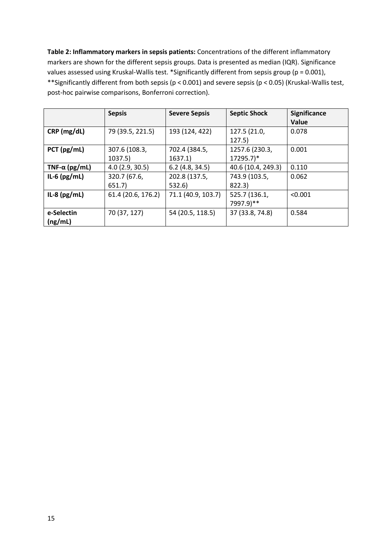**Table 2: Inflammatory markers in sepsis patients:** Concentrations of the different inflammatory markers are shown for the different sepsis groups. Data is presented as median (IQR). Significance values assessed using Kruskal-Wallis test. \*Significantly different from sepsis group (p = 0.001), \*\*Significantly different from both sepsis (p < 0.001) and severe sepsis (p < 0.05) (Kruskal-Wallis test, post-hoc pairwise comparisons, Bonferroni correction).

|                       | <b>Sepsis</b>      | <b>Severe Sepsis</b> | <b>Septic Shock</b> | <b>Significance</b> |
|-----------------------|--------------------|----------------------|---------------------|---------------------|
|                       |                    |                      |                     | Value               |
| CRP (mg/dL)           | 79 (39.5, 221.5)   | 193 (124, 422)       | 127.5 (21.0,        | 0.078               |
|                       |                    |                      | 127.5)              |                     |
| PCT (pg/mL)           | 307.6 (108.3,      | 702.4 (384.5,        | 1257.6 (230.3,      | 0.001               |
|                       | 1037.5)            | 1637.1)              | 17295.7)*           |                     |
| TNF- $\alpha$ (pg/mL) | 4.0(2.9, 30.5)     | 6.2(4.8, 34.5)       | 40.6 (10.4, 249.3)  | 0.110               |
| IL-6 $(pg/mL)$        | 320.7 (67.6,       | 202.8 (137.5,        | 743.9 (103.5,       | 0.062               |
|                       | 651.7              | 532.6)               | 822.3)              |                     |
| IL-8 $(pg/mL)$        | 61.4 (20.6, 176.2) | 71.1 (40.9, 103.7)   | 525.7 (136.1,       | < 0.001             |
|                       |                    |                      | 7997.9)**           |                     |
| e-Selectin            | 70 (37, 127)       | 54 (20.5, 118.5)     | 37 (33.8, 74.8)     | 0.584               |
| (ng/mL)               |                    |                      |                     |                     |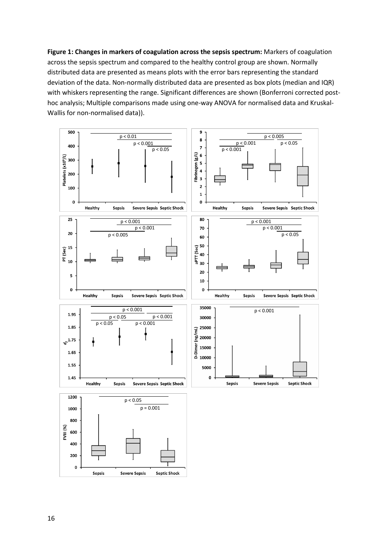**Figure 1: Changes in markers of coagulation across the sepsis spectrum:** Markers of coagulation across the sepsis spectrum and compared to the healthy control group are shown. Normally distributed data are presented as means plots with the error bars representing the standard deviation of the data. Non-normally distributed data are presented as box plots (median and IQR) with whiskers representing the range. Significant differences are shown (Bonferroni corrected posthoc analysis; Multiple comparisons made using one-way ANOVA for normalised data and Kruskal-Wallis for non-normalised data)).

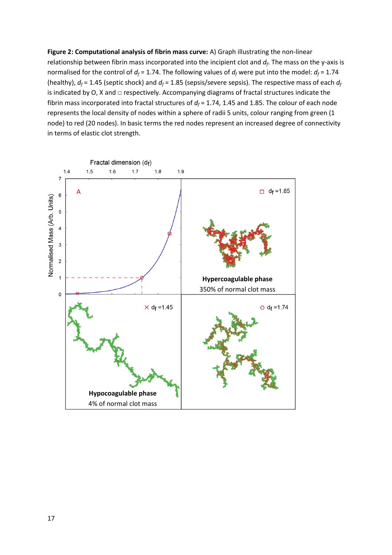**Figure 2: Computational analysis of fibrin mass curve:** A) Graph illustrating the non-linear relationship between fibrin mass incorporated into the incipient clot and *d<sup>f</sup>* . The mass on the y-axis is normalised for the control of  $d_f$  = 1.74. The following values of  $d_f$  were put into the model:  $d_f$  = 1.74 (healthy),  $d_f$  = 1.45 (septic shock) and  $d_f$  = 1.85 (sepsis/severe sepsis). The respective mass of each  $d_f$ is indicated by O, X and  $\Box$  respectively. Accompanying diagrams of fractal structures indicate the fibrin mass incorporated into fractal structures of  $d_f$  = 1.74, 1.45 and 1.85. The colour of each node represents the local density of nodes within a sphere of radii 5 units, colour ranging from green (1 node) to red (20 nodes). In basic terms the red nodes represent an increased degree of connectivity in terms of elastic clot strength.

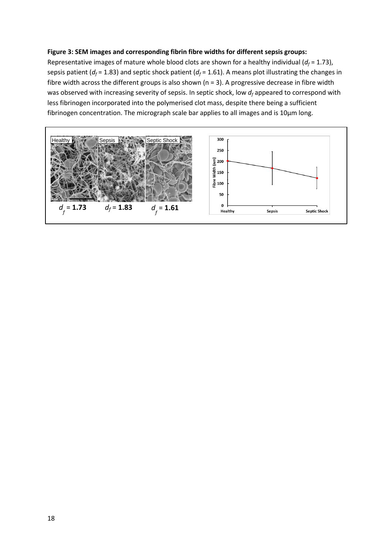## **Figure 3: SEM images and corresponding fibrin fibre widths for different sepsis groups:**

Representative images of mature whole blood clots are shown for a healthy individual  $(d_f = 1.73)$ , sepsis patient ( $d_f$  = 1.83) and septic shock patient ( $d_f$  = 1.61). A means plot illustrating the changes in fibre width across the different groups is also shown (n = 3). A progressive decrease in fibre width was observed with increasing severity of sepsis. In septic shock, low *d<sup>f</sup>* appeared to correspond with less fibrinogen incorporated into the polymerised clot mass, despite there being a sufficient fibrinogen concentration. The micrograph scale bar applies to all images and is 10µm long.